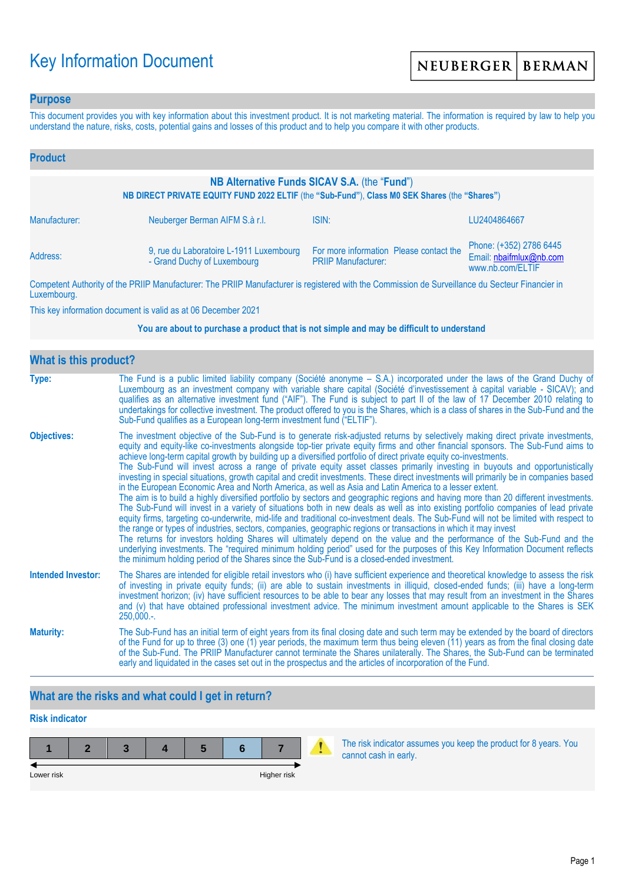# Key Information Document

### **Purpose**

This document provides you with key information about this investment product. It is not marketing material. The information is required by law to help you understand the nature, risks, costs, potential gains and losses of this product and to help you compare it with other products.

| <b>Product</b>                                                                                                                                |                                                                        |                                                                       |                                                                        |  |
|-----------------------------------------------------------------------------------------------------------------------------------------------|------------------------------------------------------------------------|-----------------------------------------------------------------------|------------------------------------------------------------------------|--|
| NB Alternative Funds SICAV S.A. (the "Fund")<br>NB DIRECT PRIVATE EQUITY FUND 2022 ELTIF (the "Sub-Fund"), Class M0 SEK Shares (the "Shares") |                                                                        |                                                                       |                                                                        |  |
| Manufacturer:                                                                                                                                 | Neuberger Berman AIFM S.à r.l.                                         | ISIN:                                                                 | LU2404864667                                                           |  |
| Address:                                                                                                                                      | 9, rue du Laboratoire L-1911 Luxembourg<br>- Grand Duchy of Luxembourg | For more information Please contact the<br><b>PRIIP Manufacturer:</b> | Phone: (+352) 2786 6445<br>Email: nbaifmlux@nb.com<br>www.nb.com/ELTIF |  |

Competent Authority of the PRIIP Manufacturer: The PRIIP Manufacturer is registered with the Commission de Surveillance du Secteur Financier in Luxembourg.

This key information document is valid as at 06 December 2021

#### **You are about to purchase a product that is not simple and may be difficult to understand**

| <b>What is this product?</b> |                                                                                                                                                                                                                                                                                                                                                                                                                                                                                                                                                                                                                                                                                                                                                                                                                                                                                                                                                                                                                                                                                                                                                                                                                                                                                                                                                                                                                                                                                                                                                                                                                                                                               |  |  |  |
|------------------------------|-------------------------------------------------------------------------------------------------------------------------------------------------------------------------------------------------------------------------------------------------------------------------------------------------------------------------------------------------------------------------------------------------------------------------------------------------------------------------------------------------------------------------------------------------------------------------------------------------------------------------------------------------------------------------------------------------------------------------------------------------------------------------------------------------------------------------------------------------------------------------------------------------------------------------------------------------------------------------------------------------------------------------------------------------------------------------------------------------------------------------------------------------------------------------------------------------------------------------------------------------------------------------------------------------------------------------------------------------------------------------------------------------------------------------------------------------------------------------------------------------------------------------------------------------------------------------------------------------------------------------------------------------------------------------------|--|--|--|
| Type:                        | The Fund is a public limited liability company (Société anonyme – S.A.) incorporated under the laws of the Grand Duchy of<br>Luxembourg as an investment company with variable share capital (Société d'investissement à capital variable - SICAV); and<br>qualifies as an alternative investment fund ("AIF"). The Fund is subject to part II of the law of 17 December 2010 relating to<br>undertakings for collective investment. The product offered to you is the Shares, which is a class of shares in the Sub-Fund and the<br>Sub-Fund qualifies as a European long-term investment fund ("ELTIF").                                                                                                                                                                                                                                                                                                                                                                                                                                                                                                                                                                                                                                                                                                                                                                                                                                                                                                                                                                                                                                                                    |  |  |  |
| <b>Objectives:</b>           | The investment objective of the Sub-Fund is to generate risk-adjusted returns by selectively making direct private investments,<br>equity and equity-like co-investments alongside top-tier private equity firms and other financial sponsors. The Sub-Fund aims to<br>achieve long-term capital growth by building up a diversified portfolio of direct private equity co-investments.<br>The Sub-Fund will invest across a range of private equity asset classes primarily investing in buyouts and opportunistically<br>investing in special situations, growth capital and credit investments. These direct investments will primarily be in companies based<br>in the European Economic Area and North America, as well as Asia and Latin America to a lesser extent.<br>The aim is to build a highly diversified portfolio by sectors and geographic regions and having more than 20 different investments.<br>The Sub-Fund will invest in a variety of situations both in new deals as well as into existing portfolio companies of lead private<br>equity firms, targeting co-underwrite, mid-life and traditional co-investment deals. The Sub-Fund will not be limited with respect to<br>the range or types of industries, sectors, companies, geographic regions or transactions in which it may invest<br>The returns for investors holding Shares will ultimately depend on the value and the performance of the Sub-Fund and the<br>underlying investments. The "required minimum holding period" used for the purposes of this Key Information Document reflects<br>the minimum holding period of the Shares since the Sub-Fund is a closed-ended investment. |  |  |  |
| <b>Intended Investor:</b>    | The Shares are intended for eligible retail investors who (i) have sufficient experience and theoretical knowledge to assess the risk<br>of investing in private equity funds; (ii) are able to sustain investments in illiquid, closed-ended funds; (iii) have a long-term<br>investment horizon; (iv) have sufficient resources to be able to bear any losses that may result from an investment in the Shares<br>and (v) that have obtained professional investment advice. The minimum investment amount applicable to the Shares is SEK<br>$250,000.$ -.                                                                                                                                                                                                                                                                                                                                                                                                                                                                                                                                                                                                                                                                                                                                                                                                                                                                                                                                                                                                                                                                                                                 |  |  |  |
| <b>Maturity:</b>             | The Sub-Fund has an initial term of eight years from its final closing date and such term may be extended by the board of directors<br>of the Fund for up to three (3) one (1) year periods, the maximum term thus being eleven (11) years as from the final closing date<br>of the Sub-Fund. The PRIIP Manufacturer cannot terminate the Shares unilaterally. The Shares, the Sub-Fund can be terminated<br>early and liquidated in the cases set out in the prospectus and the articles of incorporation of the Fund.                                                                                                                                                                                                                                                                                                                                                                                                                                                                                                                                                                                                                                                                                                                                                                                                                                                                                                                                                                                                                                                                                                                                                       |  |  |  |

# **What are the risks and what could I get in return?**

# **Risk indicator**



The risk indicator assumes you keep the product for 8 years. You cannot cash in early.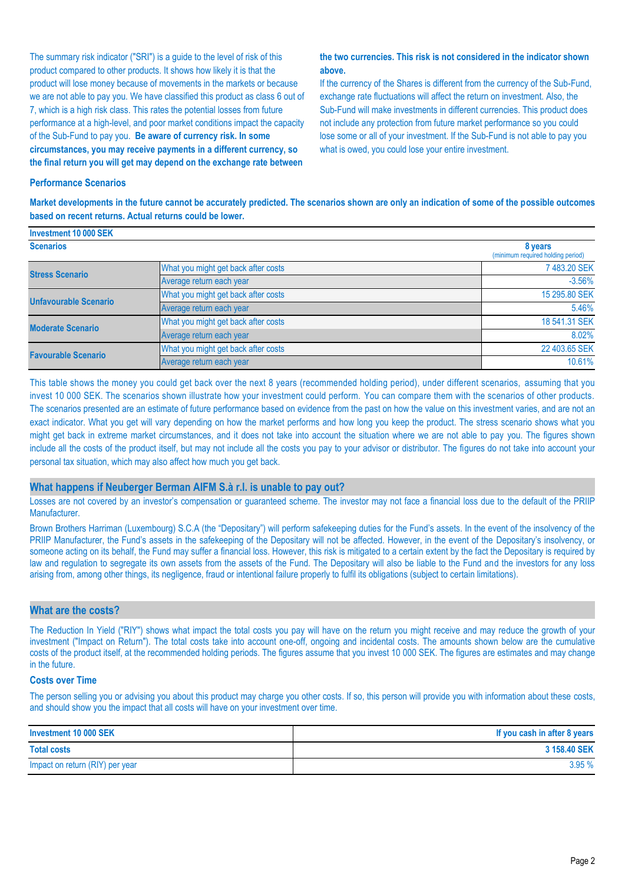The summary risk indicator ("SRI") is a guide to the level of risk of this product compared to other products. It shows how likely it is that the product will lose money because of movements in the markets or because we are not able to pay you. We have classified this product as class 6 out of 7, which is a high risk class. This rates the potential losses from future performance at a high-level, and poor market conditions impact the capacity of the Sub-Fund to pay you. **Be aware of currency risk. In some circumstances, you may receive payments in a different currency, so the final return you will get may depend on the exchange rate between** 

#### **the two currencies. This risk is not considered in the indicator shown above.**

If the currency of the Shares is different from the currency of the Sub-Fund, exchange rate fluctuations will affect the return on investment. Also, the Sub-Fund will make investments in different currencies. This product does not include any protection from future market performance so you could lose some or all of your investment. If the Sub-Fund is not able to pay you what is owed, you could lose your entire investment.

#### **Performance Scenarios**

**Investment 10 000 SEK**

**Market developments in the future cannot be accurately predicted. The scenarios shown are only an indication of some of the possible outcomes based on recent returns. Actual returns could be lower.**

| <b>INVESURENT TU UUU SER</b> |                                     |                                              |
|------------------------------|-------------------------------------|----------------------------------------------|
| <b>Scenarios</b>             |                                     | 8 years<br>(minimum required holding period) |
| <b>Stress Scenario</b>       | What you might get back after costs | 7483.20 SEK                                  |
|                              | Average return each year            | $-3.56%$                                     |
| <b>Unfavourable Scenario</b> | What you might get back after costs | 15 295.80 SEK                                |
|                              | Average return each year            | 5.46%                                        |
| <b>Moderate Scenario</b>     | What you might get back after costs | 18 541.31 SEK                                |
|                              | Average return each year            | 8.02%                                        |
| <b>Favourable Scenario</b>   | What you might get back after costs | 22 403.65 SEK                                |
|                              | Average return each year            | 10.61%                                       |

This table shows the money you could get back over the next 8 years (recommended holding period), under different scenarios, assuming that you invest 10 000 SEK. The scenarios shown illustrate how your investment could perform. You can compare them with the scenarios of other products. The scenarios presented are an estimate of future performance based on evidence from the past on how the value on this investment varies, and are not an exact indicator. What you get will vary depending on how the market performs and how long you keep the product. The stress scenario shows what you might get back in extreme market circumstances, and it does not take into account the situation where we are not able to pay you. The figures shown include all the costs of the product itself, but may not include all the costs you pay to your advisor or distributor. The figures do not take into account your personal tax situation, which may also affect how much you get back.

#### **What happens if Neuberger Berman AIFM S.à r.l. is unable to pay out?**

Losses are not covered by an investor's compensation or guaranteed scheme. The investor may not face a financial loss due to the default of the PRIIP Manufacturer.

Brown Brothers Harriman (Luxembourg) S.C.A (the "Depositary") will perform safekeeping duties for the Fund's assets. In the event of the insolvency of the PRIIP Manufacturer, the Fund's assets in the safekeeping of the Depositary will not be affected. However, in the event of the Depositary's insolvency, or someone acting on its behalf, the Fund may suffer a financial loss. However, this risk is mitigated to a certain extent by the fact the Depositary is required by law and regulation to segregate its own assets from the assets of the Fund. The Depositary will also be liable to the Fund and the investors for any loss arising from, among other things, its negligence, fraud or intentional failure properly to fulfil its obligations (subject to certain limitations).

#### **What are the costs?**

The Reduction In Yield ("RIY") shows what impact the total costs you pay will have on the return you might receive and may reduce the growth of your investment ("Impact on Return"). The total costs take into account one-off, ongoing and incidental costs. The amounts shown below are the cumulative costs of the product itself, at the recommended holding periods. The figures assume that you invest 10 000 SEK. The figures are estimates and may change in the future.

#### **Costs over Time**

The person selling you or advising you about this product may charge you other costs. If so, this person will provide you with information about these costs, and should show you the impact that all costs will have on your investment over time.

| Investment 10 000 SEK           | If you cash in after 8 years |
|---------------------------------|------------------------------|
| <b>Total costs</b>              | 3 158,40 SEK                 |
| Impact on return (RIY) per year | 3.95%                        |